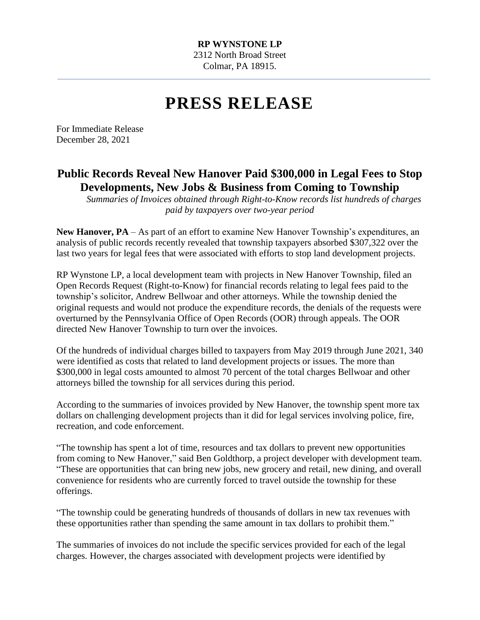## **PRESS RELEASE**

For Immediate Release December 28, 2021

## **Public Records Reveal New Hanover Paid \$300,000 in Legal Fees to Stop Developments, New Jobs & Business from Coming to Township**

*Summaries of Invoices obtained through Right-to-Know records list hundreds of charges paid by taxpayers over two-year period*

**New Hanover, PA** – As part of an effort to examine New Hanover Township's expenditures, an analysis of public records recently revealed that township taxpayers absorbed \$307,322 over the last two years for legal fees that were associated with efforts to stop land development projects.

RP Wynstone LP, a local development team with projects in New Hanover Township, filed an Open Records Request (Right-to-Know) for financial records relating to legal fees paid to the township's solicitor, Andrew Bellwoar and other attorneys. While the township denied the original requests and would not produce the expenditure records, the denials of the requests were overturned by the Pennsylvania Office of Open Records (OOR) through appeals. The OOR directed New Hanover Township to turn over the invoices.

Of the hundreds of individual charges billed to taxpayers from May 2019 through June 2021, 340 were identified as costs that related to land development projects or issues. The more than \$300,000 in legal costs amounted to almost 70 percent of the total charges Bellwoar and other attorneys billed the township for all services during this period.

According to the summaries of invoices provided by New Hanover, the township spent more tax dollars on challenging development projects than it did for legal services involving police, fire, recreation, and code enforcement.

"The township has spent a lot of time, resources and tax dollars to prevent new opportunities from coming to New Hanover," said Ben Goldthorp, a project developer with development team. "These are opportunities that can bring new jobs, new grocery and retail, new dining, and overall convenience for residents who are currently forced to travel outside the township for these offerings.

"The township could be generating hundreds of thousands of dollars in new tax revenues with these opportunities rather than spending the same amount in tax dollars to prohibit them."

The summaries of invoices do not include the specific services provided for each of the legal charges. However, the charges associated with development projects were identified by